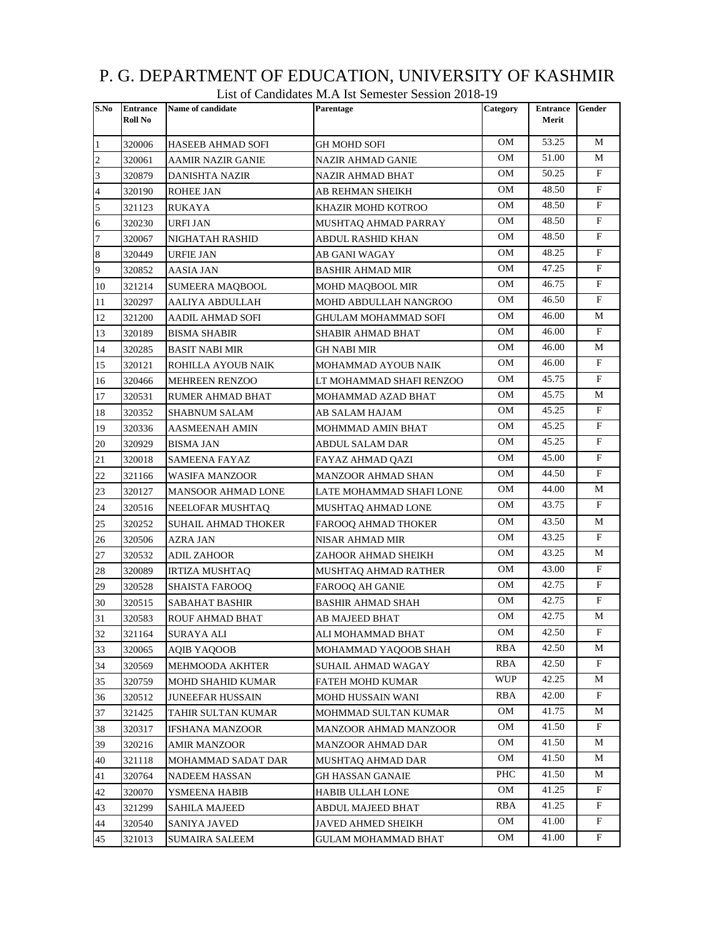|                | List of Candidates M.A Ist Semester Session 2018-19 |                         |                          |            |                          |              |  |  |
|----------------|-----------------------------------------------------|-------------------------|--------------------------|------------|--------------------------|--------------|--|--|
| S.No           | <b>Entrance</b><br>Roll No                          | Name of candidate       | Parentage                | Category   | <b>Entrance</b><br>Merit | Gender       |  |  |
| 1              | 320006                                              | HASEEB AHMAD SOFI       | GH MOHD SOFI             | OМ         | 53.25                    | М            |  |  |
| $\overline{c}$ | 320061                                              | AAMIR NAZIR GANIE       | NAZIR AHMAD GANIE        | OМ         | 51.00                    | М            |  |  |
| 3              | 320879                                              | DANISHTA NAZIR          | NAZIR AHMAD BHAT         | OМ         | 50.25                    | F            |  |  |
| $\overline{4}$ | 320190                                              | ROHEE JAN               | AB REHMAN SHEIKH         | OМ         | 48.50                    | F            |  |  |
| 5              | 321123                                              | RUKAYA                  | KHAZIR MOHD KOTROO       | OM         | 48.50                    | F            |  |  |
| 6              | 320230                                              | URFI JAN                | MUSHTAQ AHMAD PARRAY     | OМ         | 48.50                    | F            |  |  |
| $\overline{7}$ | 320067                                              | NIGHATAH RASHID         | ABDUL RASHID KHAN        | OМ         | 48.50                    | $\mathbf{F}$ |  |  |
| 8              | 320449                                              | URFIE JAN               | AB GANI WAGAY            | OМ         | 48.25                    | F            |  |  |
| 9              | 320852                                              | AASIA JAN               | BASHIR AHMAD MIR         | OМ         | 47.25                    | F            |  |  |
| 10             | 321214                                              | SUMEERA MAQBOOL         | MOHD MAQBOOL MIR         | OМ         | 46.75                    | F            |  |  |
| 11             | 320297                                              | AALIYA ABDULLAH         | MOHD ABDULLAH NANGROO    | OМ         | 46.50                    | F            |  |  |
| 12             | 321200                                              | AADIL AHMAD SOFI        | GHULAM MOHAMMAD SOFI     | OМ         | 46.00                    | M            |  |  |
| 13             | 320189                                              | <b>BISMA SHABIR</b>     | SHABIR AHMAD BHAT        | OМ         | 46.00                    | F            |  |  |
| 14             | 320285                                              | <b>BASIT NABI MIR</b>   | GH NABI MIR              | OM         | 46.00                    | М            |  |  |
| 15             | 320121                                              | ROHILLA AYOUB NAIK      | MOHAMMAD AYOUB NAIK      | OМ         | 46.00                    | F            |  |  |
| 16             | 320466                                              | <b>MEHREEN RENZOO</b>   | LT MOHAMMAD SHAFI RENZOO | OМ         | 45.75                    | F            |  |  |
| 17             | 320531                                              | RUMER AHMAD BHAT        | MOHAMMAD AZAD BHAT       | OМ         | 45.75                    | М            |  |  |
| 18             | 320352                                              | SHABNUM SALAM           | AB SALAM HAJAM           | OМ         | 45.25                    | F            |  |  |
| 19             | 320336                                              | AASMEENAH AMIN          | MOHMMAD AMIN BHAT        | OМ         | 45.25                    | F            |  |  |
| 20             | 320929                                              | BISMA JAN               | ABDUL SALAM DAR          | OМ         | 45.25                    | $_{\rm F}$   |  |  |
| 21             | 320018                                              | SAMEENA FAYAZ           | FAYAZ AHMAD QAZI         | OМ         | 45.00                    | F            |  |  |
| 22             | 321166                                              | WASIFA MANZOOR          | MANZOOR AHMAD SHAN       | OМ         | 44.50                    | F            |  |  |
| 23             | 320127                                              | MANSOOR AHMAD LONE      | LATE MOHAMMAD SHAFI LONE | OМ         | 44.00                    | М            |  |  |
| 24             | 320516                                              | NEELOFAR MUSHTAQ        | MUSHTAQ AHMAD LONE       | OМ         | 43.75                    | F            |  |  |
| 25             | 320252                                              | SUHAIL AHMAD THOKER     | FAROOQ AHMAD THOKER      | OМ         | 43.50                    | М            |  |  |
| 26             | 320506                                              | AZRA JAN                | NISAR AHMAD MIR          | OМ         | 43.25                    | F            |  |  |
| 27             | 320532                                              | ADIL ZAHOOR             | ZAHOOR AHMAD SHEIKH      | OM         | 43.25                    | М            |  |  |
| 28             | 320089                                              | <b>IRTIZA MUSHTAQ</b>   | MUSHTAQ AHMAD RATHER     | OМ         | 43.00                    | F            |  |  |
| 29             | 320528                                              | SHAISTA FAROOQ          | FAROOQ AH GANIE          | OМ         | 42.75                    | F            |  |  |
| 30             | 320515                                              | <b>SABAHAT BASHIR</b>   | BASHIR AHMAD SHAH        | OМ         | 42.75                    | F            |  |  |
| 31             | 320583                                              | ROUF AHMAD BHAT         | AB MAJEED BHAT           | OМ         | 42.75                    | М            |  |  |
| 32             | 321164                                              | SURAYA ALI              | ALI MOHAMMAD BHAT        | OМ         | 42.50                    | F            |  |  |
| 33             | 320065                                              | AOIB YAOOOB             | MOHAMMAD YAQOOB SHAH     | RBA        | 42.50                    | М            |  |  |
| 34             | 320569                                              | MEHMOODA AKHTER         | SUHAIL AHMAD WAGAY       | RBA        | 42.50                    | F            |  |  |
| 35             | 320759                                              | MOHD SHAHID KUMAR       | FATEH MOHD KUMAR         | <b>WUP</b> | 42.25                    | М            |  |  |
| 36             | 320512                                              | <b>JUNEEFAR HUSSAIN</b> | MOHD HUSSAIN WANI        | RBA        | 42.00                    | F            |  |  |
| 37             | 321425                                              | TAHIR SULTAN KUMAR      | MOHMMAD SULTAN KUMAR     | OМ         | 41.75                    | М            |  |  |
| 38             | 320317                                              | <b>IFSHANA MANZOOR</b>  | MANZOOR AHMAD MANZOOR    | OМ         | 41.50                    | F            |  |  |
| 39             | 320216                                              | AMIR MANZOOR            | MANZOOR AHMAD DAR        | OM         | 41.50                    | М            |  |  |
| 40             | 321118                                              | MOHAMMAD SADAT DAR      | MUSHTAQ AHMAD DAR        | OМ         | 41.50                    | М            |  |  |
| 41             | 320764                                              | NADEEM HASSAN           | GH HASSAN GANAIE         | PHC        | 41.50                    | M            |  |  |
| 42             | 320070                                              | YSMEENA HABIB           | HABIB ULLAH LONE         | OM         | 41.25                    | F            |  |  |
| 43             | 321299                                              | SAHILA MAJEED           | ABDUL MAJEED BHAT        | RBA        | 41.25                    | F            |  |  |
| 44             | 320540                                              | SANIYA JAVED            | JAVED AHMED SHEIKH       | OМ         | 41.00                    | F            |  |  |
| 45             | 321013                                              | SUMAIRA SALEEM          | GULAM MOHAMMAD BHAT      | OМ         | 41.00                    | F            |  |  |

## P. G. DEPARTMENT OF EDUCATION, UNIVERSITY OF KASHMIR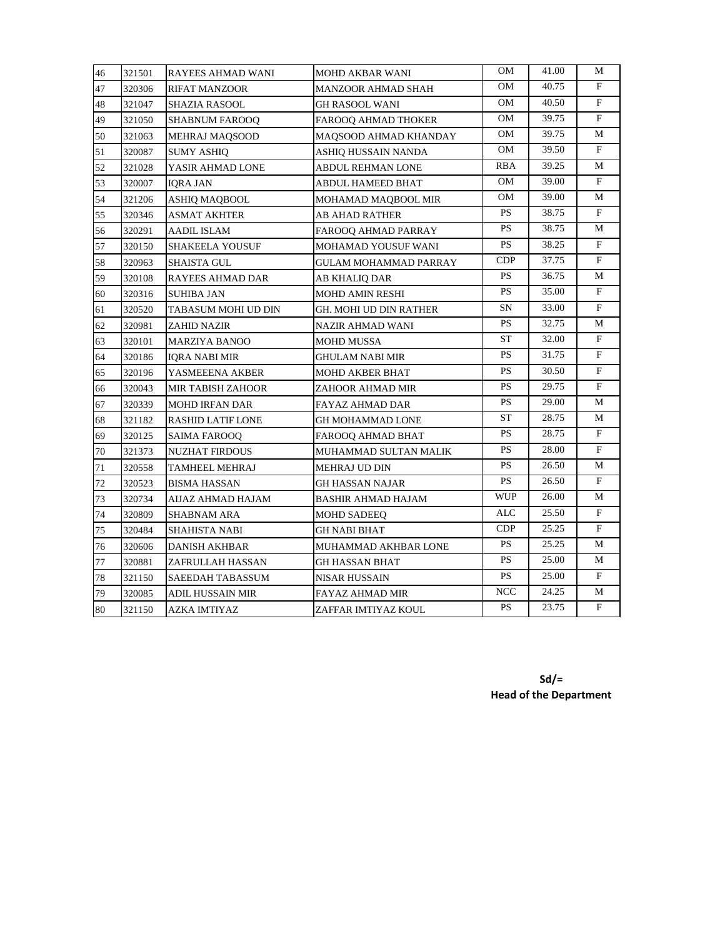| 46 | 321501 | RAYEES AHMAD WANI        | <b>MOHD AKBAR WANI</b>       | OМ                     | 41.00 | M                       |
|----|--------|--------------------------|------------------------------|------------------------|-------|-------------------------|
| 47 | 320306 | <b>RIFAT MANZOOR</b>     | <b>MANZOOR AHMAD SHAH</b>    | OМ                     | 40.75 | F                       |
| 48 | 321047 | SHAZIA RASOOL            | GH RASOOL WANI               | OM                     | 40.50 | $\mathbf{F}$            |
| 49 | 321050 | <b>SHABNUM FAROOO</b>    | FAROOQ AHMAD THOKER          | OM                     | 39.75 | $\mathbf{F}$            |
| 50 | 321063 | MEHRAJ MAQSOOD           | MAQSOOD AHMAD KHANDAY        | OМ                     | 39.75 | М                       |
| 51 | 320087 | <b>SUMY ASHIQ</b>        | ASHIQ HUSSAIN NANDA          | OM                     | 39.50 | F                       |
| 52 | 321028 | YASIR AHMAD LONE         | ABDUL REHMAN LONE            | RBA                    | 39.25 | М                       |
| 53 | 320007 | IQRA JAN                 | ABDUL HAMEED BHAT            | OМ                     | 39.00 | F                       |
| 54 | 321206 | ASHIQ MAQBOOL            | MOHAMAD MAQBOOL MIR          | OМ                     | 39.00 | M                       |
| 55 | 320346 | ASMAT AKHTER             | AB AHAD RATHER               | <b>PS</b>              | 38.75 | $\mathbf{F}$            |
| 56 | 320291 | <b>AADIL ISLAM</b>       | FAROOQ AHMAD PARRAY          | <b>PS</b>              | 38.75 | М                       |
| 57 | 320150 | <b>SHAKEELA YOUSUF</b>   | MOHAMAD YOUSUF WANI          | <b>PS</b>              | 38.25 | $\mathbf{F}$            |
| 58 | 320963 | <b>SHAISTA GUL</b>       | <b>GULAM MOHAMMAD PARRAY</b> | CDP                    | 37.75 | $\mathbf{F}$            |
| 59 | 320108 | RAYEES AHMAD DAR         | AB KHALIQ DAR                | <b>PS</b>              | 36.75 | М                       |
| 60 | 320316 | SUHIBA JAN               | <b>MOHD AMIN RESHI</b>       | <b>PS</b>              | 35.00 | F                       |
| 61 | 320520 | TABASUM MOHI UD DIN      | GH. MOHI UD DIN RATHER       | SN                     | 33.00 | $\mathbf{F}$            |
| 62 | 320981 | ZAHID NAZIR              | NAZIR AHMAD WANI             | <b>PS</b>              | 32.75 | М                       |
| 63 | 320101 | <b>MARZIYA BANOO</b>     | <b>MOHD MUSSA</b>            | ST                     | 32.00 | F                       |
| 64 | 320186 | <b>IQRA NABI MIR</b>     | GHULAM NABI MIR              | <b>PS</b>              | 31.75 | $\mathbf{F}$            |
| 65 | 320196 | YASMEEENA AKBER          | <b>MOHD AKBER BHAT</b>       | <b>PS</b>              | 30.50 | $\mathbf F$             |
| 66 | 320043 | MIR TABISH ZAHOOR        | ZAHOOR AHMAD MIR             | <b>PS</b>              | 29.75 | $\mathbf{F}$            |
| 67 | 320339 | MOHD IRFAN DAR           | FAYAZ AHMAD DAR              | <b>PS</b>              | 29.00 | M                       |
| 68 | 321182 | <b>RASHID LATIF LONE</b> | GH MOHAMMAD LONE             | ST                     | 28.75 | M                       |
| 69 | 320125 | SAIMA FAROOQ             | FAROOQ AHMAD BHAT            | <b>PS</b>              | 28.75 | $\mathbf{F}$            |
| 70 | 321373 | <b>NUZHAT FIRDOUS</b>    | MUHAMMAD SULTAN MALIK        | <b>PS</b>              | 28.00 | F                       |
| 71 | 320558 | TAMHEEL MEHRAJ           | MEHRAJ UD DIN                | <b>PS</b>              | 26.50 | М                       |
| 72 | 320523 | <b>BISMA HASSAN</b>      | <b>GH HASSAN NAJAR</b>       | <b>PS</b>              | 26.50 | F                       |
| 73 | 320734 | AIJAZ AHMAD HAJAM        | BASHIR AHMAD HAJAM           | <b>WUP</b>             | 26.00 | М                       |
| 74 | 320809 | SHABNAM ARA              | <b>MOHD SADEEQ</b>           | ALC                    | 25.50 | F                       |
| 75 | 320484 | SHAHISTA NABI            | GH NABI BHAT                 | CDP                    | 25.25 | $\mathbf{F}$            |
| 76 | 320606 | DANISH AKHBAR            | MUHAMMAD AKHBAR LONE         | <b>PS</b>              | 25.25 | М                       |
| 77 | 320881 | ZAFRULLAH HASSAN         | GH HASSAN BHAT               | PS                     | 25.00 | M                       |
| 78 | 321150 | SAEEDAH TABASSUM         | NISAR HUSSAIN                | <b>PS</b>              | 25.00 | F                       |
| 79 | 320085 | ADIL HUSSAIN MIR         | FAYAZ AHMAD MIR              | <b>NCC</b>             | 24.25 | М                       |
| 80 | 321150 | AZKA IMTIYAZ             | ZAFFAR IMTIYAZ KOUL          | $\mathbf{P}\mathbf{S}$ | 23.75 | $\overline{\mathrm{F}}$ |

**Sd/= Head of the Department**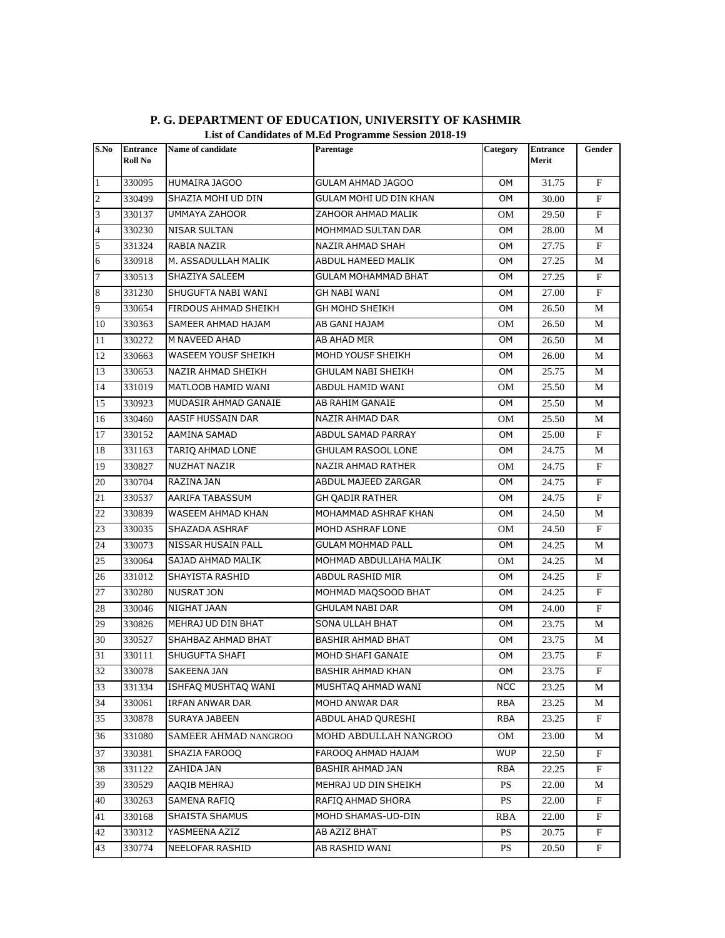| S.No           | <b>Entrance</b><br>Roll No | Name of candidate       | Parentage                  | Category   | <b>Entrance</b><br>Merit | Gender                  |
|----------------|----------------------------|-------------------------|----------------------------|------------|--------------------------|-------------------------|
| $\mathbf{1}$   | 330095                     | HUMAIRA JAGOO           | GULAM AHMAD JAGOO          | OM         | 31.75                    | F                       |
| $\overline{c}$ | 330499                     | SHAZIA MOHI UD DIN      | GULAM MOHI UD DIN KHAN     | OM.        | 30.00                    | F                       |
| 3              | 330137                     | UMMAYA ZAHOOR           | ZAHOOR AHMAD MALIK         | OМ         | 29.50                    | F                       |
| $\overline{4}$ | 330230                     | <b>NISAR SULTAN</b>     | MOHMMAD SULTAN DAR         | ОM         | 28.00                    | М                       |
| 5              | 331324                     | RABIA NAZIR             | <b>NAZIR AHMAD SHAH</b>    | OM.        | 27.75                    | F                       |
| 6              | 330918                     | M. ASSADULLAH MALIK     | ABDUL HAMEED MALIK         | OМ         | 27.25                    | М                       |
| $\overline{7}$ | 330513                     | SHAZIYA SALEEM          | <b>GULAM MOHAMMAD BHAT</b> | OM         | 27.25                    | F                       |
| $\,8\,$        | 331230                     | SHUGUFTA NABI WANI      | GH NABI WANI               | ОM         | 27.00                    | $_{\rm F}$              |
| 9              | 330654                     | FIRDOUS AHMAD SHEIKH    | GH MOHD SHEIKH             | OM         | 26.50                    | М                       |
| 10             | 330363                     | SAMEER AHMAD HAJAM      | AB GANI HAJAM              | OМ         | 26.50                    | M                       |
| 11             | 330272                     | M NAVEED AHAD           | AB AHAD MIR                | OM         | 26.50                    | М                       |
| 12             | 330663                     | WASEEM YOUSF SHEIKH     | MOHD YOUSF SHEIKH          | ОM         | 26.00                    | М                       |
| 13             | 330653                     | NAZIR AHMAD SHEIKH      | GHULAM NABI SHEIKH         | ОM         | 25.75                    | М                       |
| 14             | 331019                     | MATLOOB HAMID WANI      | ABDUL HAMID WANI           | OМ         | 25.50                    | М                       |
| 15             | 330923                     | MUDASIR AHMAD GANAIE    | AB RAHIM GANAIE            | ОM         | 25.50                    | М                       |
| 16             | 330460                     | AASIF HUSSAIN DAR       | NAZIR AHMAD DAR            | OМ         | 25.50                    | М                       |
| 17             | 330152                     | AAMINA SAMAD            | ABDUL SAMAD PARRAY         | ОM         | 25.00                    | $\mathbf{F}$            |
| 18             | 331163                     | <b>TARIQ AHMAD LONE</b> | <b>GHULAM RASOOL LONE</b>  | OM         | 24.75                    | М                       |
| 19             | 330827                     | <b>NUZHAT NAZIR</b>     | NAZIR AHMAD RATHER         | <b>OM</b>  | 24.75                    | $\mathbf{F}$            |
| 20             | 330704                     | RAZINA JAN              | ABDUL MAJEED ZARGAR        | OM         | 24.75                    | F                       |
| 21             | 330537                     | AARIFA TABASSUM         | GH QADIR RATHER            | ОM         | 24.75                    | F                       |
| 22             | 330839                     | WASEEM AHMAD KHAN       | MOHAMMAD ASHRAF KHAN       | ОM         | 24.50                    | М                       |
| 23             | 330035                     | SHAZADA ASHRAF          | MOHD ASHRAF LONE           | OМ         | 24.50                    | F                       |
| 24             | 330073                     | NISSAR HUSAIN PALL      | <b>GULAM MOHMAD PALL</b>   | OM         | 24.25                    | М                       |
| 25             | 330064                     | SAJAD AHMAD MALIK       | MOHMAD ABDULLAHA MALIK     | OМ         | 24.25                    | М                       |
| 26             | 331012                     | SHAYISTA RASHID         | ABDUL RASHID MIR           | ОM         | 24.25                    | F                       |
| 27             | 330280                     | <b>NUSRAT JON</b>       | MOHMAD MAQSOOD BHAT        | OM         | 24.25                    | $_{\rm F}$              |
| 28             | 330046                     | NIGHAT JAAN             | <b>GHULAM NABI DAR</b>     | ОM         | 24.00                    | $\mathbf{F}$            |
| 29             | 330826                     | MEHRAJ UD DIN BHAT      | <b>SONA ULLAH BHAT</b>     | OM         | 23.75                    | М                       |
| 30             | 330527                     | SHAHBAZ AHMAD BHAT      | <b>BASHIR AHMAD BHAT</b>   | ОM         | 23.75                    | М                       |
| 31             | 330111                     | <b>SHUGUFTA SHAFI</b>   | MOHD SHAFI GANAIE          | ОM         | 23.75                    | F                       |
| 32             | 330078                     | SAKEENA JAN             | <b>BASHIR AHMAD KHAN</b>   | OM         | 23.75                    | $\overline{\mathrm{F}}$ |
| 33             | 331334                     | ISHFAO MUSHTAO WANI     | MUSHTAQ AHMAD WANI         | <b>NCC</b> | 23.25                    | М                       |
| 34             | 330061                     | IRFAN ANWAR DAR         | MOHD ANWAR DAR             | RBA        | 23.25                    | М                       |
| 35             | 330878                     | SURAYA JABEEN           | ABDUL AHAD QURESHI         | RBA        | 23.25                    | F                       |
| 36             | 331080                     | SAMEER AHMAD NANGROO    | MOHD ABDULLAH NANGROO      | OM         | 23.00                    | М                       |
| 37             | 330381                     | SHAZIA FAROOQ           | FAROOO AHMAD HAJAM         | <b>WUP</b> | 22.50                    | F                       |
| 38             | 331122                     | ZAHIDA JAN              | BASHIR AHMAD JAN           | RBA        | 22.25                    | F                       |
| 39             | 330529                     | AAQIB MEHRAJ            | MEHRAJ UD DIN SHEIKH       | <b>PS</b>  | 22.00                    | М                       |
| 40             | 330263                     | SAMENA RAFIQ            | RAFIQ AHMAD SHORA          | PS         | 22.00                    | F                       |
| 41             | 330168                     | SHAISTA SHAMUS          | MOHD SHAMAS-UD-DIN         | RBA        | 22.00                    | $\mathbf{F}$            |
| 42             | 330312                     | YASMEENA AZIZ           | AB AZIZ BHAT               | <b>PS</b>  | 20.75                    | F                       |
| 43             | 330774                     | NEELOFAR RASHID         | AB RASHID WANI             | <b>PS</b>  | 20.50                    | $\mathbf{F}$            |

## **P. G. DEPARTMENT OF EDUCATION, UNIVERSITY OF KASHMIR List of Candidates of M.Ed Programme Session 2018-19**